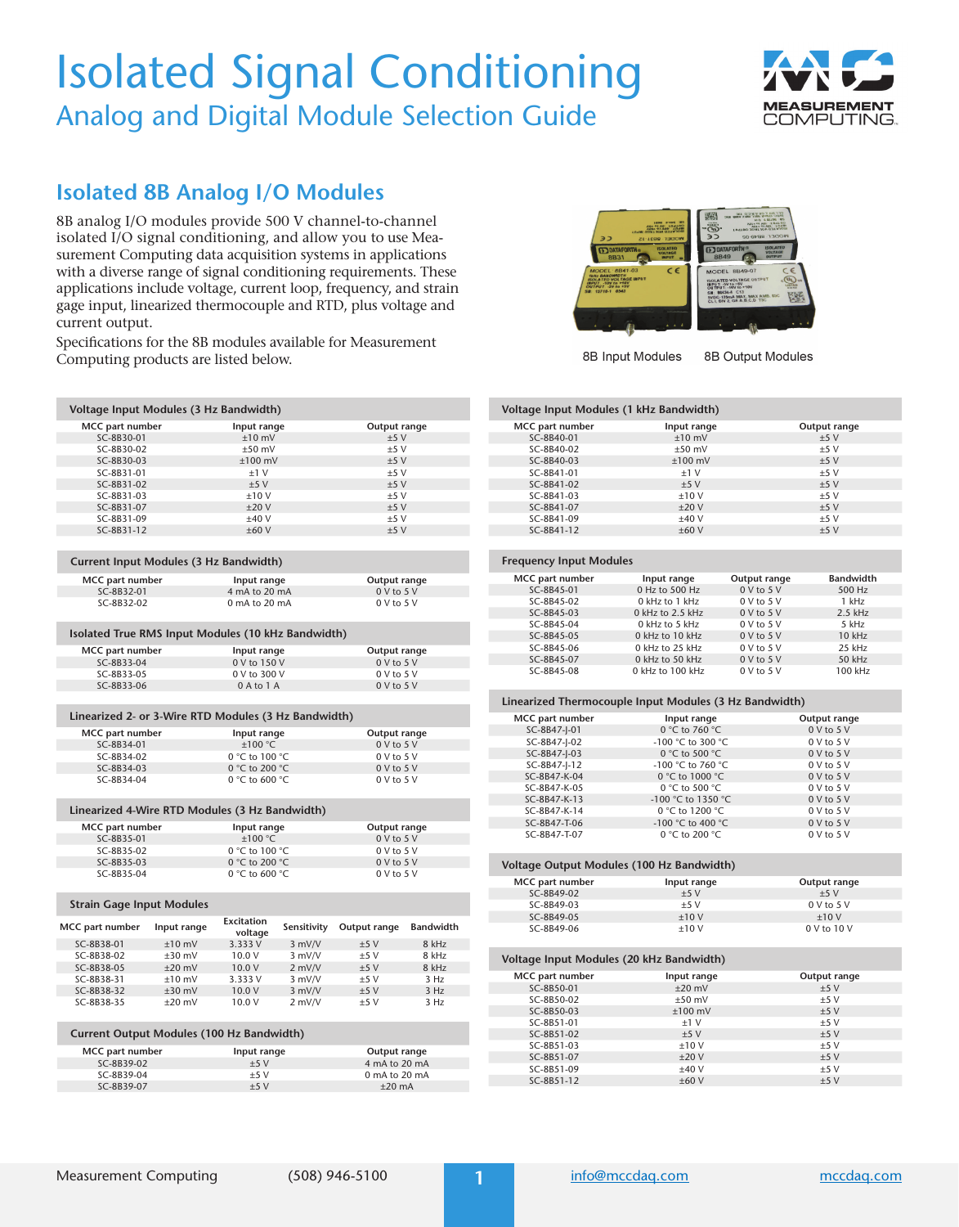# Isolated Signal Conditioning Analog and Digital Module Selection Guide



## **Isolated 8B Analog I/O Modules**

8B analog I/O modules provide 500 V channel-to-channel isolated I/O signal conditioning, and allow you to use Measurement Computing data acquisition systems in applications with a diverse range of signal conditioning requirements. These applications include voltage, current loop, frequency, and strain gage input, linearized thermocouple and RTD, plus voltage and current output.

Specifications for the 8B modules available for Measurement Computing products are listed below.

**MCC part number**  $\begin{array}{ccc}\n\text{Input range} & \text{Output range} \\
\text{SC-8B30-01} & \pm 10 \text{ mV} & \pm 5 \text{ V}\n\end{array}$ SC-8B30-01  $\pm 10 \text{ mV}$   $\pm 5 \text{ V}$ <br>SC-8B30-02  $\pm 50 \text{ mV}$   $\pm 5 \text{ V}$  $SC-8B30-02$   $\pm 50 \text{ mV}$   $\pm 5 \text{ V}$ <br> $SC-8B30-03$   $\pm 100 \text{ mV}$   $\pm 5 \text{ V}$ 

 $SC-8B31-01$   $\pm 1$  V  $\pm 5$  V<br> $SC-8B31-02$   $\pm 5$  V  $\pm 5$  V  $SC-8B31-02$   $+5 V$   $+5 V$  $\begin{array}{lll} \text{SC-8B31-03} & \text{ } \pm 10 \text{ V} & \text{ } \pm 5 \text{ V} \\ \text{SC-8B31-07} & \text{ } \pm 20 \text{ V} & \text{ } \pm 5 \text{ V} \end{array}$ 

**Voltage Input Modules (3 Hz Bandwidth)**

 $SC-8B31-07$   $±20 V$ 

SC-8B30-03



8B Input Modules

8B Output Modules

### **Voltage Input Modules (1 kHz Bandwidth)**

| MCC part number | Input range | Output range |
|-----------------|-------------|--------------|
| SC-8B40-01      | $±10$ mV    | ±5V          |
| SC-8B40-02      | $±50$ mV    | ±5V          |
| SC-8B40-03      | $±100$ mV   | ±5V          |
| SC-8B41-01      | ±1V         | ±5V          |
| SC-8B41-02      | ±5V         | ±5V          |
| SC-8B41-03      | ±10V        | $+5V$        |
| SC-8B41-07      | ±20V        | ±5V          |
| SC-8B41-09      | ±40V        | ±5V          |
| SC-8B41-12      | ±60V        | ±5V          |

#### **Frequency Input Modules**

| MCC part number | Input range      | Output range   | <b>Bandwidth</b> |  |
|-----------------|------------------|----------------|------------------|--|
| SC-8B45-01      | 0 Hz to 500 Hz   | 0 V to 5 V     | 500 Hz           |  |
| SC-8B45-02      | 0 kHz to 1 kHz   | $0 V$ to $5 V$ | 1 kHz            |  |
| SC-8B45-03      | 0 kHz to 2.5 kHz | 0 V to 5 V     | $2.5$ kHz        |  |
| SC-8B45-04      | $0$ kHz to 5 kHz | $0 V$ to $5 V$ | 5 kHz            |  |
| SC-8B45-05      | 0 kHz to 10 kHz  | 0 V to 5 V     | $10$ kHz         |  |
| SC-8B45-06      | 0 kHz to 25 kHz  | $0 V$ to $5 V$ | 25 kHz           |  |
| SC-8B45-07      | 0 kHz to 50 kHz  | 0 V to 5 V     | 50 kHz           |  |
| SC-8B45-08      | 0 kHz to 100 kHz | $0 V$ to $5 V$ | 100 kHz          |  |
|                 |                  |                |                  |  |

#### **Linearized Thermocouple Input Modules (3 Hz Bandwidth)**

| MCC part number | Input range        | Output range   |
|-----------------|--------------------|----------------|
| SC-8B47-I-01    | 0 °C to 760 °C     | 0 V to 5 V     |
| SC-8B47-I-02    | -100 °C to 300 °C  | $0 V$ to $5 V$ |
| SC-8B47-I-03    | 0 °C to 500 °C     | $0 V$ to $5 V$ |
| SC-8B47-J-12    | -100 °C to 760 °C  | $0$ V to $5$ V |
| SC-8B47-K-04    | 0 °C to 1000 °C    | $0 V$ to $5 V$ |
| SC-8B47-K-05    | 0 °C to 500 °C     | $0$ V to $5$ V |
| SC-8B47-K-13    | -100 °C to 1350 °C | $0 V$ to $5 V$ |
| SC-8B47-K-14    | 0 °C to 1200 °C    | $0$ V to $5$ V |
| SC-8B47-T-06    | -100 °C to 400 °C  | $0 V$ to $5 V$ |
| SC-8B47-T-07    | 0 °C to 200 °C     | 0 V to 5 V     |

| Voltage Output Modules (100 Hz Bandwidth) |             |                 |  |  |
|-------------------------------------------|-------------|-----------------|--|--|
| MCC part number                           | Input range | Output range    |  |  |
| SC-8B49-02                                | $+5V$       | $+5V$           |  |  |
| SC-8B49-03                                | $+5V$       | 0 V to 5 V      |  |  |
| SC-8B49-05                                | $+10V$      | $+10V$          |  |  |
| SC-8B49-06                                | $+10V$      | $0$ V to $10$ V |  |  |

| Voltage Input Modules (20 kHz Bandwidth) |             |              |  |  |  |
|------------------------------------------|-------------|--------------|--|--|--|
| MCC part number                          | Input range | Output range |  |  |  |
| SC-8B50-01                               | $±20$ mV    | ±5V          |  |  |  |
| SC-8B50-02                               | $±50$ mV    | $+5V$        |  |  |  |
| SC-8B50-03                               | $±100$ mV   | ±5V          |  |  |  |
| SC-8B51-01                               | $±1$ V      | ±5V          |  |  |  |
| SC-8B51-02                               | $+5V$       | ±5V          |  |  |  |
| SC-8B51-03                               | ±10V        | $+5V$        |  |  |  |
| SC-8B51-07                               | ±20V        | ±5V          |  |  |  |
| SC-8B51-09                               | ±40V        | $+5V$        |  |  |  |
| SC-8B51-12                               | ±60V        | ±5V          |  |  |  |

| SC-8B31-09                             | ±40V                                                 | ±5V            |
|----------------------------------------|------------------------------------------------------|----------------|
| SC-8B31-12                             | $+60V$                                               | $+5V$          |
|                                        |                                                      |                |
| Current Input Modules (3 Hz Bandwidth) |                                                      |                |
| MCC part number                        | Input range                                          | Output range   |
| SC-8B32-01                             | 4 mA to 20 mA                                        | $0 V$ to $5 V$ |
| SC-8B32-02                             | $0$ mA to $20$ mA                                    | $0 V$ to $5 V$ |
|                                        | Isolated True RMS Input Modules (10 kHz Bandwidth)   |                |
| MCC part number                        | Input range                                          | Output range   |
| SC-8B33-04                             | 0 V to 150 V                                         | 0 V to 5 V     |
| SC-8B33-05                             | 0 V to 300 V                                         | $0 V$ to $5 V$ |
| SC-8B33-06                             | 0 A to 1 A                                           | 0 V to 5 V     |
|                                        |                                                      |                |
|                                        | Linearized 2- or 3-Wire RTD Modules (3 Hz Bandwidth) |                |
| MCC part number                        | Input range                                          | Output range   |
|                                        |                                                      |                |

| MCC part number | Input range    | Output range         |
|-----------------|----------------|----------------------|
| SC-8B34-01      | $+100 °C$      | 0 V to 5 V           |
| SC-8B34-02      | 0 °C to 100 °C | $0 \vee$ to $5 \vee$ |
| SC-8B34-03      | 0 °C to 200 °C | 0 V to 5 V           |
| SC-8B34-04      | 0 °C to 600 °C | $0$ V to $5$ V       |

### **Linearized 4-Wire RTD Modules (3 Hz Bandwidth)**

| MCC part number | Input range     | Output range |
|-----------------|-----------------|--------------|
| SC-8B35-01      | $+100$ °C.      | $0$ V to 5 V |
| SC-8B35-02      | 0 °C to 100 °C  | 0 V to 5 V   |
| SC-8B35-03      | 0 °C to 200 °C  | 0 V to 5 V   |
| SC-8B35-04      | 0 °C to 600 °C. | 0 V to 5 V   |

### **Strain Gage Input Modules**

| MCC part number | Input range | Excitation<br>voltage | Sensitivity | Output range | <b>Bandwidth</b> |
|-----------------|-------------|-----------------------|-------------|--------------|------------------|
| SC-8B38-01      | $+10$ mV    | 3.333 V               | $3$ mV/V    | $+5V$        | 8 kHz            |
| SC-8B38-02      | $+30$ mV    | 10.0 V                | $3$ mV/V    | $+5V$        | 8 kHz            |
| SC-8B38-05      | $+20$ mV    | 10.0V                 | $2$ mV/V    | $+5V$        | 8 kHz            |
| SC-8B38-31      | $+10$ mV    | 3.333 V               | $3$ mV/V    | $+5V$        | 3 H <sub>z</sub> |
| SC-8B38-32      | $+30$ mV    | 10.0V                 | $3$ mV/V    | $+5V$        | 3 H <sub>z</sub> |
| SC-8B38-35      | $+20$ mV    | 10.0 V                | $2$ mV/V    | $+5V$        | 3 H <sub>z</sub> |

### **Current Output Modules (100 Hz Bandwidth)**

| MCC part number | Input range | Output range     |
|-----------------|-------------|------------------|
| SC-8B39-02      | $+5V$       | 4 mA to 20 mA    |
| SC-8B39-04      | $+5V$       | 0 mA to 20 mA    |
| SC-8B39-07      | $+5V$       | $+20 \text{ mA}$ |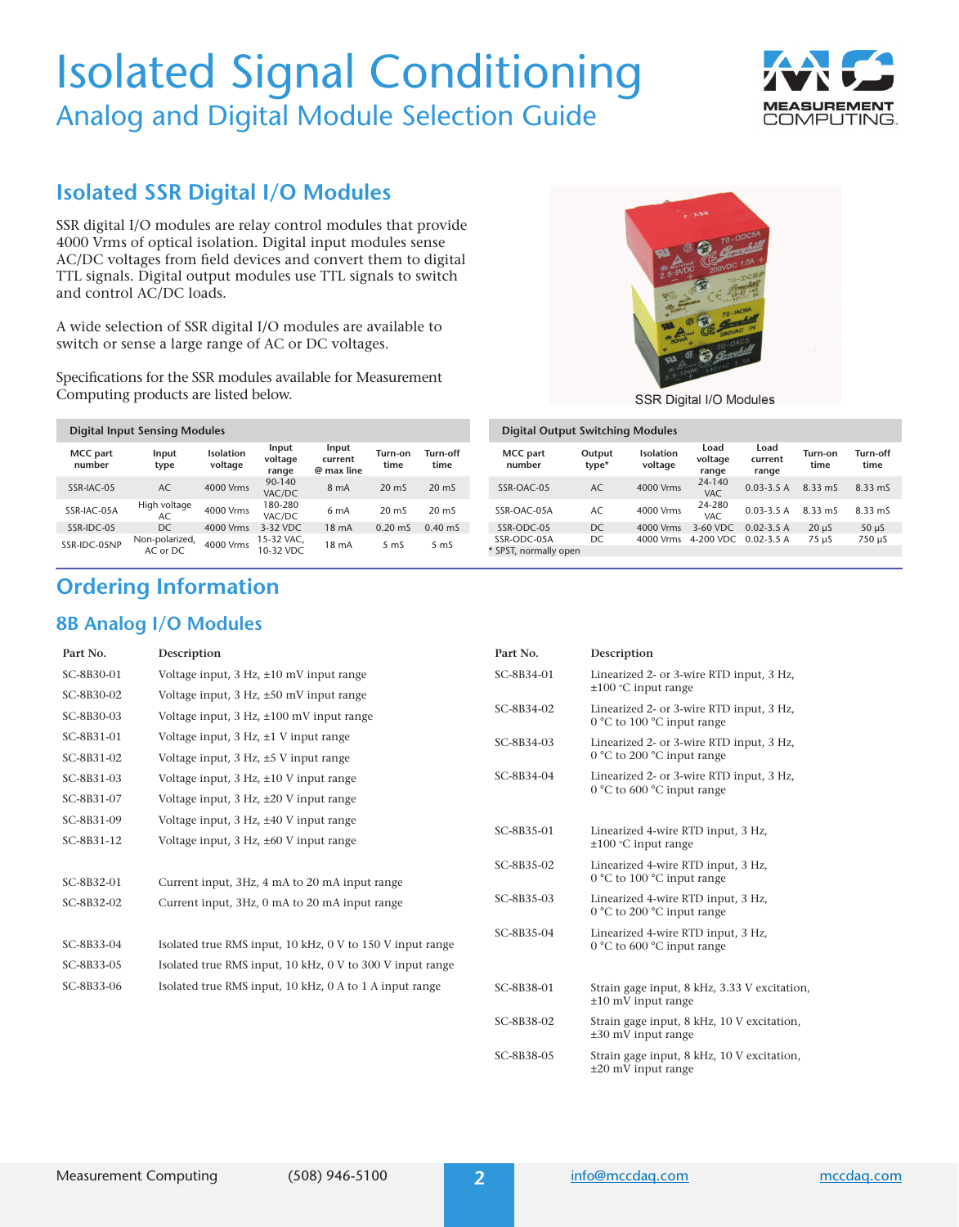# Isolated Signal Conditioning Analog and Digital Module Selection Guide



## **Isolated SSR Digital I/O Modules**

SSR digital I/O modules are relay control modules that provide 4000 Vrms of optical isolation. Digital input modules sense AC/DC voltages from field devices and convert them to digital TTL signals. Digital output modules use TTL signals to switch and control AC/DC loads.

A wide selection of SSR digital I/O modules are available to switch or sense a large range of AC or DC voltages.

Specifications for the SSR modules available for Measurement Computing products are listed below.

| <b>Digital Input Sensing Modules</b> |  |                            |                      |                           |                                |                  |                  |
|--------------------------------------|--|----------------------------|----------------------|---------------------------|--------------------------------|------------------|------------------|
| <b>MCC</b> part<br>number            |  | Input<br>type              | Isolation<br>voltage | Input<br>voltage<br>range | Input<br>current<br>@ max line | Turn-on<br>time  | Turn-off<br>time |
| SSR-IAC-05                           |  | AC                         | 4000 Vrms            | $90 - 140$<br>VAC/DC      | 8 <sub>m</sub> A               | $20 \text{ m}$   | $20 \text{ m}$   |
| SSR-IAC-05A                          |  | High voltage<br>AC.        | 4000 Vrms            | 180-280<br>VAC/DC         | 6 <sub>m</sub> A               | $20 \text{ m}$   | $20 \text{ m}$   |
| SSR-IDC-05                           |  | DC.                        | 4000 Vrms            | 3-32 VDC                  | 18 <sub>mA</sub>               | $0.20 \text{ m}$ | $0.40 \text{ m}$ |
| SSR-IDC-05NP                         |  | Non-polarized,<br>AC or DC | 4000 Vrms            | 15-32 VAC,<br>10-32 VDC   | 18 <sub>mA</sub>               | 5 <sub>ms</sub>  | 5 <sub>ms</sub>  |

# **Ordering Information**

### **8B Analog I/O Modules**

**Part No. Description**

| 481.7                                                                                                             |
|-------------------------------------------------------------------------------------------------------------------|
| 70-ODC5A                                                                                                          |
| 200VDC 1.0A +<br><b>Tead</b><br><sub>TU</sub><br>$2.5 - 90$<br>IDC5N                                              |
| 70-IAC5A                                                                                                          |
| <b>UN</b><br>280VAC<br>helaland<br><b>YOV</b><br>50 <sup>m</sup><br>70-0AC5                                       |
| ମ<br>$\overline{\phantom{a}}$<br><b>Lond</b><br><b>40VAC</b><br>affy nivers<br>10VDC<br>$F_1 =$<br>$\overline{2}$ |
| SSR Digital I/O Modules                                                                                           |

Digital I/O Modu

| Digital Output Switching Modules |  |  |
|----------------------------------|--|--|
|----------------------------------|--|--|

| <b>MCC</b> part<br>number | Output<br>type* | Isolation<br>voltage | Load<br>voltage<br>range | Load<br>current<br>range | Turn-on<br>time | Turn-off<br>time |
|---------------------------|-----------------|----------------------|--------------------------|--------------------------|-----------------|------------------|
| SSR-OAC-05                | AC              | 4000 Vrms            | 24-140<br>VAC.           | $0.03 - 3.5A$            | 8.33 mS         | $8.33 \text{ m}$ |
| SSR-OAC-05A               | AC.             | 4000 Vrms            | 24-280<br>VAC.           | $0.03 - 3.5A$            | 8.33 mS         | $8.33 \text{ m}$ |
| SSR-ODC-05                | DC.             | 4000 Vrms            | 3-60 VDC                 | $0.02 - 3.5$ A           | $20 \text{ u}$  | $50 \mu S$       |
| SSR-ODC-05A               | DC.             | 4000 Vrms            | 4-200 VDC                | $0.02 - 3.5$ A           | 75 µS           | 750 µS           |
| * SPST, normally open     |                 |                      |                          |                          |                 |                  |

| Part No.   | Description                                                             |
|------------|-------------------------------------------------------------------------|
| SC-8B34-01 | Linearized 2- or 3-wire RTD input, 3 Hz,<br>$\pm 100$ °C input range    |
| SC-8B34-02 | Linearized 2- or 3-wire RTD input, 3 Hz,<br>0 °C to 100 °C input range  |
| SC-8B34-03 | Linearized 2- or 3-wire RTD input, 3 Hz,<br>0 °C to 200 °C input range  |
| SC-8B34-04 | Linearized 2- or 3-wire RTD input, 3 Hz,<br>0 °C to 600 °C input range  |
| SC-8B35-01 | Linearized 4-wire RTD input, 3 Hz,<br>$\pm 100$ °C input range          |
| SC-8B35-02 | Linearized 4-wire RTD input, 3 Hz,<br>0 °C to 100 °C input range        |
| SC-8B35-03 | Linearized 4-wire RTD input, 3 Hz,<br>0 °C to 200 °C input range        |
| SC-8B35-04 | Linearized 4-wire RTD input, 3 Hz,<br>0 °C to 600 °C input range        |
| SC-8B38-01 | Strain gage input, 8 kHz, 3.33 V excitation,<br>$\pm 10$ mV input range |
| SC-8B38-02 | Strain gage input, 8 kHz, 10 V excitation,<br>$\pm 30$ mV input range   |
| SC-8B38-05 | Strain gage input, 8 kHz, 10 V excitation,<br>$\pm 20$ mV input range   |

### SC-8B32-01 Current input, 3Hz, 4 mA to 20 mA input range SC-8B32-02 Current input, 3Hz, 0 mA to 20 mA input range

SC-8B30-01 Voltage input, 3 Hz, ±10 mV input range SC-8B30-02 Voltage input, 3 Hz, ±50 mV input range SC-8B30-03 Voltage input, 3 Hz, ±100 mV input range SC-8B31-01 Voltage input, 3 Hz, ±1 V input range SC-8B31-02 Voltage input, 3 Hz, ±5 V input range SC-8B31-03 Voltage input, 3 Hz, ±10 V input range SC-8B31-07 Voltage input, 3 Hz, ±20 V input range SC-8B31-09 Voltage input, 3 Hz, ±40 V input range SC-8B31-12 Voltage input, 3 Hz, ±60 V input range

| SC-8B33-04 | Isolated true RMS input, 10 kHz, 0 V to 150 V input range |
|------------|-----------------------------------------------------------|
| SC-8B33-05 | Isolated true RMS input, 10 kHz, 0 V to 300 V input range |
| SC-8B33-06 | Isolated true RMS input, 10 kHz, 0 A to 1 A input range   |